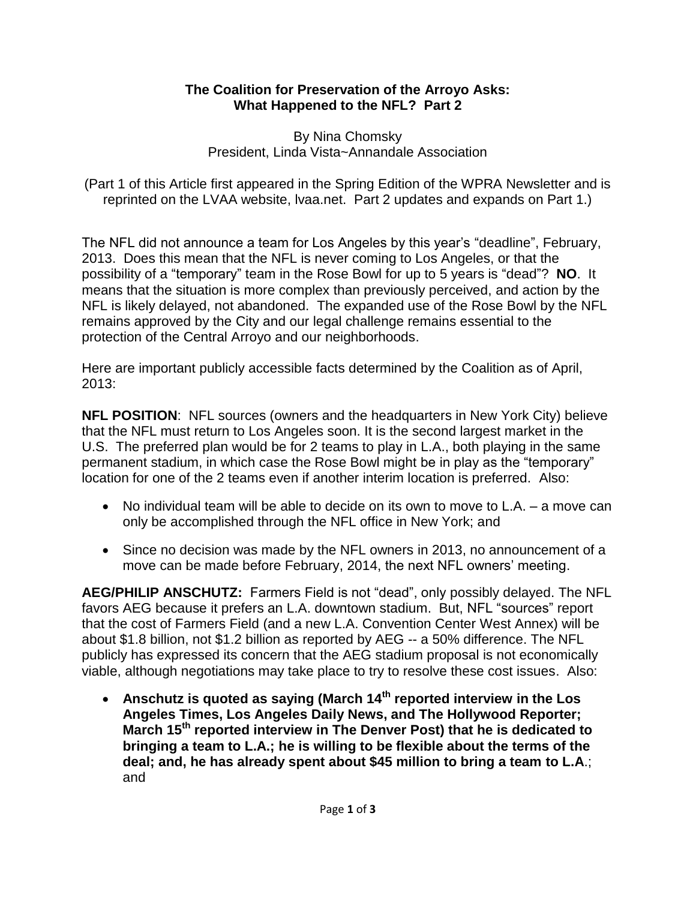## **The Coalition for Preservation of the Arroyo Asks: What Happened to the NFL? Part 2**

By Nina Chomsky President, Linda Vista~Annandale Association

(Part 1 of this Article first appeared in the Spring Edition of the WPRA Newsletter and is reprinted on the LVAA website, lvaa.net. Part 2 updates and expands on Part 1.)

The NFL did not announce a team for Los Angeles by this year's "deadline", February, 2013. Does this mean that the NFL is never coming to Los Angeles, or that the possibility of a "temporary" team in the Rose Bowl for up to 5 years is "dead"? **NO**. It means that the situation is more complex than previously perceived, and action by the NFL is likely delayed, not abandoned. The expanded use of the Rose Bowl by the NFL remains approved by the City and our legal challenge remains essential to the protection of the Central Arroyo and our neighborhoods.

Here are important publicly accessible facts determined by the Coalition as of April, 2013:

**NFL POSITION**: NFL sources (owners and the headquarters in New York City) believe that the NFL must return to Los Angeles soon. It is the second largest market in the U.S. The preferred plan would be for 2 teams to play in L.A., both playing in the same permanent stadium, in which case the Rose Bowl might be in play as the "temporary" location for one of the 2 teams even if another interim location is preferred. Also:

- No individual team will be able to decide on its own to move to L.A. a move can only be accomplished through the NFL office in New York; and
- Since no decision was made by the NFL owners in 2013, no announcement of a move can be made before February, 2014, the next NFL owners' meeting.

**AEG/PHILIP ANSCHUTZ:** Farmers Field is not "dead", only possibly delayed. The NFL favors AEG because it prefers an L.A. downtown stadium. But, NFL "sources" report that the cost of Farmers Field (and a new L.A. Convention Center West Annex) will be about \$1.8 billion, not \$1.2 billion as reported by AEG -- a 50% difference. The NFL publicly has expressed its concern that the AEG stadium proposal is not economically viable, although negotiations may take place to try to resolve these cost issues. Also:

 **Anschutz is quoted as saying (March 14th reported interview in the Los Angeles Times, Los Angeles Daily News, and The Hollywood Reporter; March 15th reported interview in The Denver Post) that he is dedicated to bringing a team to L.A.; he is willing to be flexible about the terms of the deal; and, he has already spent about \$45 million to bring a team to L.A**.; and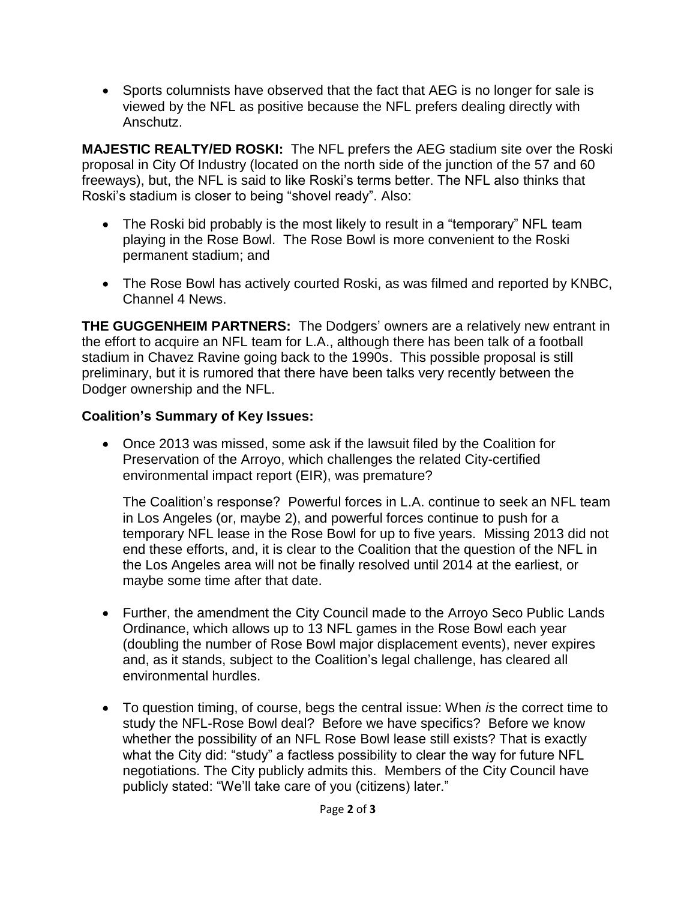• Sports columnists have observed that the fact that AEG is no longer for sale is viewed by the NFL as positive because the NFL prefers dealing directly with Anschutz.

**MAJESTIC REALTY/ED ROSKI:** The NFL prefers the AEG stadium site over the Roski proposal in City Of Industry (located on the north side of the junction of the 57 and 60 freeways), but, the NFL is said to like Roski's terms better. The NFL also thinks that Roski's stadium is closer to being "shovel ready". Also:

- The Roski bid probably is the most likely to result in a "temporary" NFL team playing in the Rose Bowl. The Rose Bowl is more convenient to the Roski permanent stadium; and
- The Rose Bowl has actively courted Roski, as was filmed and reported by KNBC, Channel 4 News.

**THE GUGGENHEIM PARTNERS:** The Dodgers' owners are a relatively new entrant in the effort to acquire an NFL team for L.A., although there has been talk of a football stadium in Chavez Ravine going back to the 1990s. This possible proposal is still preliminary, but it is rumored that there have been talks very recently between the Dodger ownership and the NFL.

## **Coalition's Summary of Key Issues:**

 Once 2013 was missed, some ask if the lawsuit filed by the Coalition for Preservation of the Arroyo, which challenges the related City-certified environmental impact report (EIR), was premature?

The Coalition's response? Powerful forces in L.A. continue to seek an NFL team in Los Angeles (or, maybe 2), and powerful forces continue to push for a temporary NFL lease in the Rose Bowl for up to five years. Missing 2013 did not end these efforts, and, it is clear to the Coalition that the question of the NFL in the Los Angeles area will not be finally resolved until 2014 at the earliest, or maybe some time after that date.

- Further, the amendment the City Council made to the Arroyo Seco Public Lands Ordinance, which allows up to 13 NFL games in the Rose Bowl each year (doubling the number of Rose Bowl major displacement events), never expires and, as it stands, subject to the Coalition's legal challenge, has cleared all environmental hurdles.
- To question timing, of course, begs the central issue: When *is* the correct time to study the NFL-Rose Bowl deal? Before we have specifics? Before we know whether the possibility of an NFL Rose Bowl lease still exists? That is exactly what the City did: "study" a factless possibility to clear the way for future NFL negotiations. The City publicly admits this. Members of the City Council have publicly stated: "We'll take care of you (citizens) later."